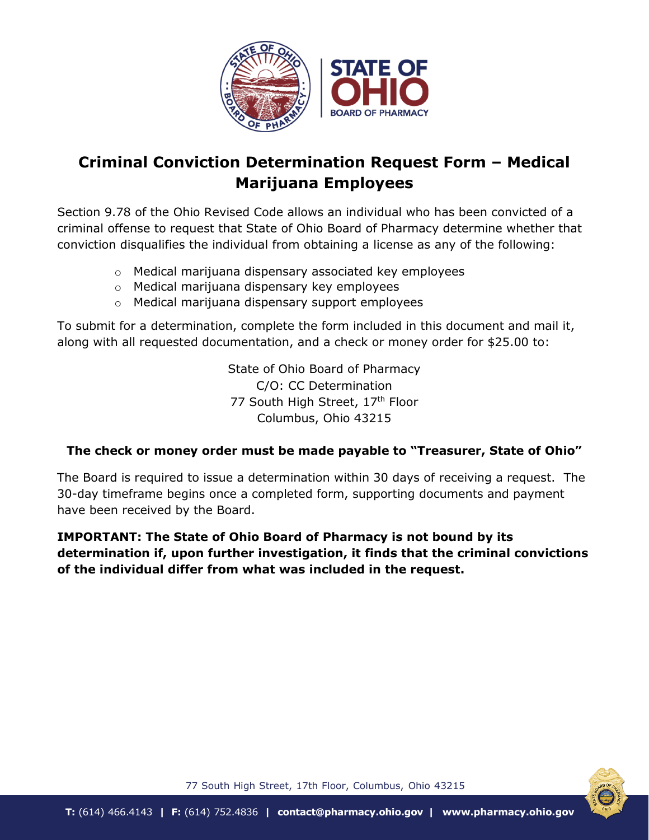

## **Criminal Conviction Determination Request Form – Medical Marijuana Employees**

Section 9.78 of the Ohio Revised Code allows an individual who has been convicted of a criminal offense to request that State of Ohio Board of Pharmacy determine whether that conviction disqualifies the individual from obtaining a license as any of the following:

- o Medical marijuana dispensary associated key employees
- o Medical marijuana dispensary key employees
- o Medical marijuana dispensary support employees

To submit for a determination, complete the form included in this document and mail it, along with all requested documentation, and a check or money order for \$25.00 to:

> State of Ohio Board of Pharmacy C/O: CC Determination 77 South High Street, 17th Floor Columbus, Ohio 43215

## **The check or money order must be made payable to "Treasurer, State of Ohio"**

The Board is required to issue a determination within 30 days of receiving a request. The 30-day timeframe begins once a completed form, supporting documents and payment have been received by the Board.

**IMPORTANT: The State of Ohio Board of Pharmacy is not bound by its determination if, upon further investigation, it finds that the criminal convictions of the individual differ from what was included in the request.**



77 South High Street, 17th Floor, Columbus, Ohio 43215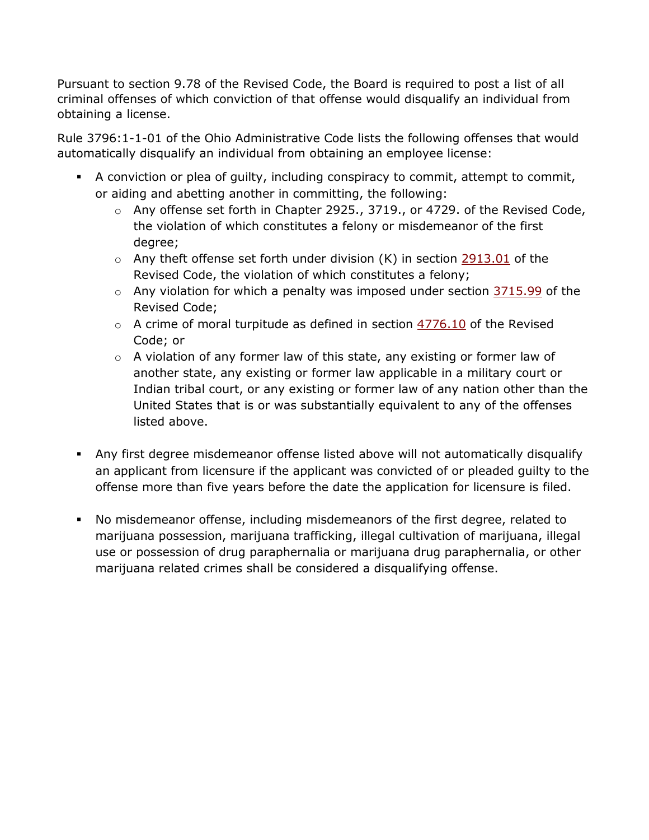Pursuant to section 9.78 of the Revised Code, the Board is required to post a list of all criminal offenses of which conviction of that offense would disqualify an individual from obtaining a license.

Rule 3796:1-1-01 of the Ohio Administrative Code lists the following offenses that would automatically disqualify an individual from obtaining an employee license:

- A conviction or plea of guilty, including conspiracy to commit, attempt to commit, or aiding and abetting another in committing, the following:
	- o Any offense set forth in Chapter 2925., 3719., or 4729. of the Revised Code, the violation of which constitutes a felony or misdemeanor of the first degree;
	- $\circ$  Any theft offense set forth under division (K) in section [2913.01](http://codes.ohio.gov/orc/2913.01) of the Revised Code, the violation of which constitutes a felony;
	- $\circ$  Any violation for which a penalty was imposed under section  $\frac{3715.99}{2715.99}$  $\frac{3715.99}{2715.99}$  $\frac{3715.99}{2715.99}$  of the Revised Code;
	- $\circ$  A crime of moral turpitude as defined in section  $4776.10$  of the Revised Code; or
	- $\circ$  A violation of any former law of this state, any existing or former law of another state, any existing or former law applicable in a military court or Indian tribal court, or any existing or former law of any nation other than the United States that is or was substantially equivalent to any of the offenses listed above.
- Any first degree misdemeanor offense listed above will not automatically disqualify an applicant from licensure if the applicant was convicted of or pleaded guilty to the offense more than five years before the date the application for licensure is filed.
- No misdemeanor offense, including misdemeanors of the first degree, related to marijuana possession, marijuana trafficking, illegal cultivation of marijuana, illegal use or possession of drug paraphernalia or marijuana drug paraphernalia, or other marijuana related crimes shall be considered a disqualifying offense.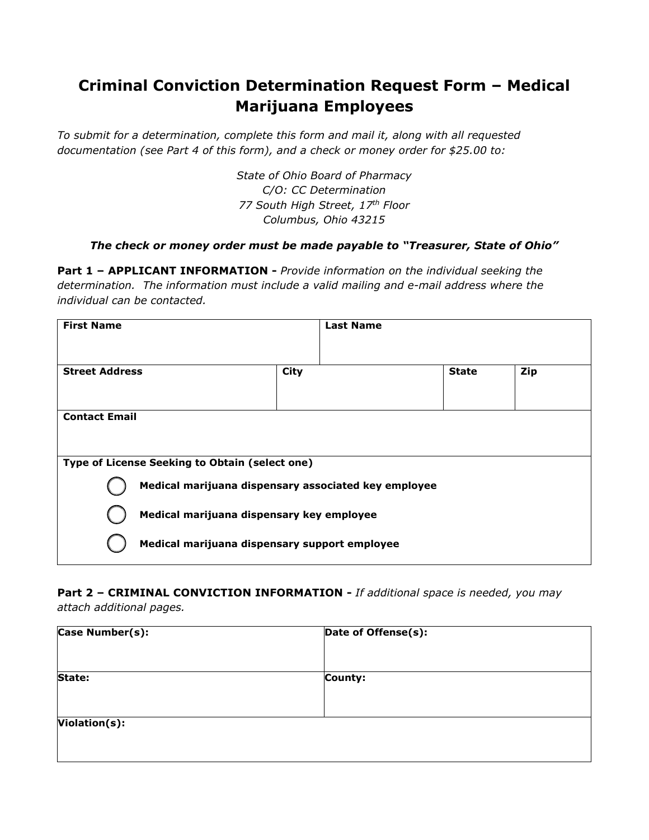## **Criminal Conviction Determination Request Form – Medical Marijuana Employees**

*To submit for a determination, complete this form and mail it, along with all requested documentation (see Part 4 of this form), and a check or money order for \$25.00 to:*

> *State of Ohio Board of Pharmacy C/O: CC Determination 77 South High Street, 17th Floor Columbus, Ohio 43215*

## *The check or money order must be made payable to "Treasurer, State of Ohio"*

**Part 1 – APPLICANT INFORMATION -** *Provide information on the individual seeking the determination. The information must include a valid mailing and e-mail address where the individual can be contacted.*

| <b>First Name</b>                              | <b>Last Name</b>                                     |              |     |
|------------------------------------------------|------------------------------------------------------|--------------|-----|
|                                                |                                                      |              |     |
| <b>Street Address</b>                          | <b>City</b>                                          | <b>State</b> | Zip |
|                                                |                                                      |              |     |
| <b>Contact Email</b>                           |                                                      |              |     |
|                                                |                                                      |              |     |
| Type of License Seeking to Obtain (select one) |                                                      |              |     |
|                                                | Medical marijuana dispensary associated key employee |              |     |
|                                                | Medical marijuana dispensary key employee            |              |     |
|                                                | Medical marijuana dispensary support employee        |              |     |

**Part 2 – CRIMINAL CONVICTION INFORMATION -** *If additional space is needed, you may attach additional pages.*

| Case Number(s): | Date of Offense(s): |  |
|-----------------|---------------------|--|
|                 |                     |  |
| State:          | County:             |  |
|                 |                     |  |
| Violation(s):   |                     |  |
|                 |                     |  |
|                 |                     |  |